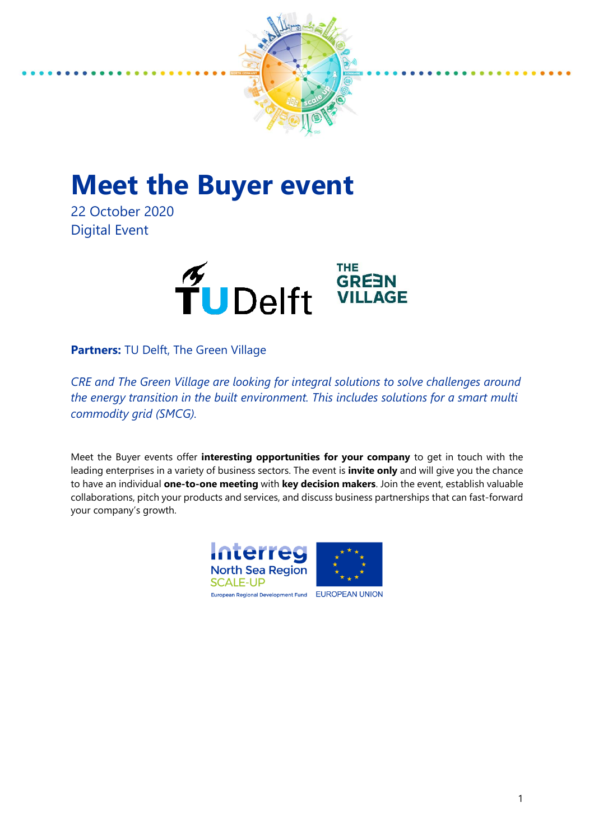

# **Meet the Buyer event**

22 October 2020 Digital Event



**Partners: TU Delft, The Green Village** 

*CRE and The Green Village are looking for integral solutions to solve challenges around the energy transition in the built environment. This includes solutions for a smart multi commodity grid (SMCG).*

Meet the Buyer events offer **interesting opportunities for your company** to get in touch with the leading enterprises in a variety of business sectors. The event is **invite only** and will give you the chance to have an individual **one-to-one meeting** with **key decision makers**. Join the event, establish valuable collaborations, pitch your products and services, and discuss business partnerships that can fast-forward your company's growth.

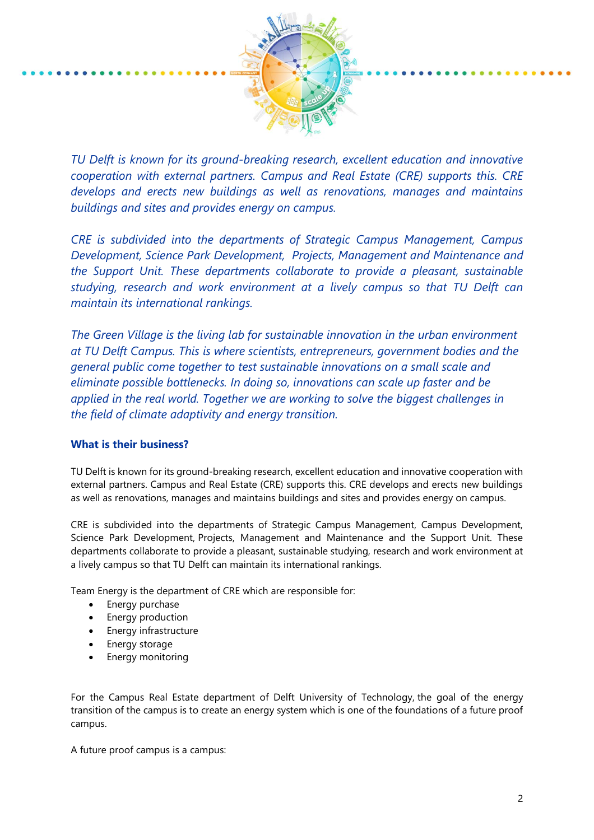

*TU Delft is known for its ground-breaking research, excellent education and innovative cooperation with external partners. Campus and Real Estate (CRE) supports this. CRE develops and erects new buildings as well as renovations, manages and maintains buildings and sites and provides energy on campus.* 

*CRE is subdivided into the departments of Strategic Campus Management, Campus Development, Science Park Development, Projects, Management and Maintenance and the Support Unit. These departments collaborate to provide a pleasant, sustainable studying, research and work environment at a lively campus so that TU Delft can maintain its international rankings.*

*The Green Village is the living lab for sustainable innovation in the urban environment at TU Delft Campus. This is where scientists, entrepreneurs, government bodies and the general public come together to test sustainable innovations on a small scale and eliminate possible bottlenecks. In doing so, innovations can scale up faster and be applied in the real world. Together we are working to solve the biggest challenges in the field of climate adaptivity and energy transition.*

# **What is their business?**

TU Delft is known for its ground-breaking research, excellent education and innovative cooperation with external partners. Campus and Real Estate (CRE) supports this. CRE develops and erects new buildings as well as renovations, manages and maintains buildings and sites and provides energy on campus.

CRE is subdivided into the departments of Strategic Campus Management, Campus Development, Science Park Development, Projects, Management and Maintenance and the Support Unit. These departments collaborate to provide a pleasant, sustainable studying, research and work environment at a lively campus so that TU Delft can maintain its international rankings.

Team Energy is the department of CRE which are responsible for:

- Energy purchase
- Energy production
- Energy infrastructure
- Energy storage
- Energy monitoring

For the Campus Real Estate department of Delft University of Technology, the goal of the energy transition of the campus is to create an energy system which is one of the foundations of a future proof campus.

A future proof campus is a campus: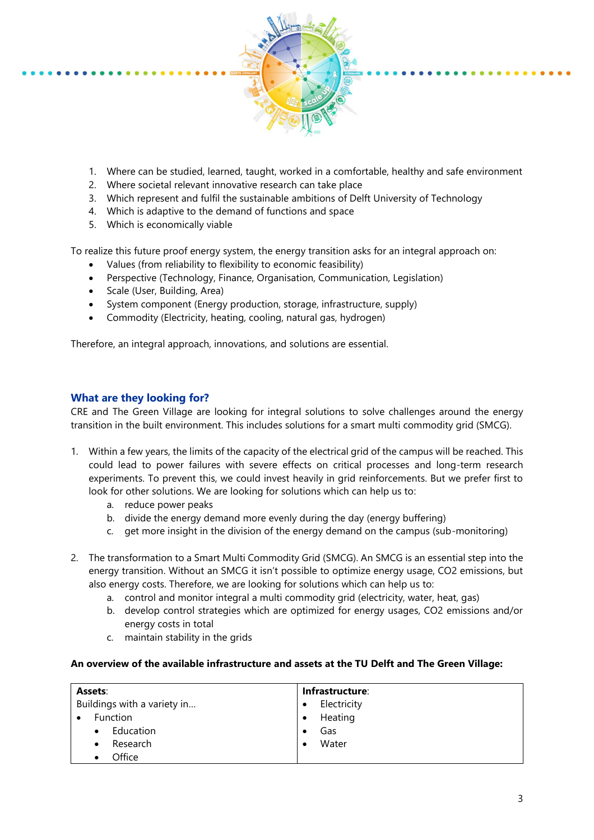

- 1. Where can be studied, learned, taught, worked in a comfortable, healthy and safe environment
- 2. Where societal relevant innovative research can take place
- 3. Which represent and fulfil the sustainable ambitions of Delft University of Technology
- 4. Which is adaptive to the demand of functions and space
- 5. Which is economically viable

To realize this future proof energy system, the energy transition asks for an integral approach on:

- Values (from reliability to flexibility to economic feasibility)
- Perspective (Technology, Finance, Organisation, Communication, Legislation)
- Scale (User, Building, Area)
- System component (Energy production, storage, infrastructure, supply)
- Commodity (Electricity, heating, cooling, natural gas, hydrogen)

Therefore, an integral approach, innovations, and solutions are essential.

## **What are they looking for?**

CRE and The Green Village are looking for integral solutions to solve challenges around the energy transition in the built environment. This includes solutions for a smart multi commodity grid (SMCG).

- 1. Within a few years, the limits of the capacity of the electrical grid of the campus will be reached. This could lead to power failures with severe effects on critical processes and long-term research experiments. To prevent this, we could invest heavily in grid reinforcements. But we prefer first to look for other solutions. We are looking for solutions which can help us to:
	- a. reduce power peaks
	- b. divide the energy demand more evenly during the day (energy buffering)
	- c. get more insight in the division of the energy demand on the campus (sub-monitoring)
- 2. The transformation to a Smart Multi Commodity Grid (SMCG). An SMCG is an essential step into the energy transition. Without an SMCG it isn't possible to optimize energy usage, CO2 emissions, but also energy costs. Therefore, we are looking for solutions which can help us to:
	- a. control and monitor integral a multi commodity grid (electricity, water, heat, gas)
	- b. develop control strategies which are optimized for energy usages, CO2 emissions and/or energy costs in total
	- c. maintain stability in the grids

#### **An overview of the available infrastructure and assets at the TU Delft and The Green Village:**

| Assets:                     | Infrastructure: |
|-----------------------------|-----------------|
| Buildings with a variety in | Electricity     |
| Function                    | Heating         |
| Education<br>$\bullet$      | Gas             |
| Research                    | Water           |
| Office                      |                 |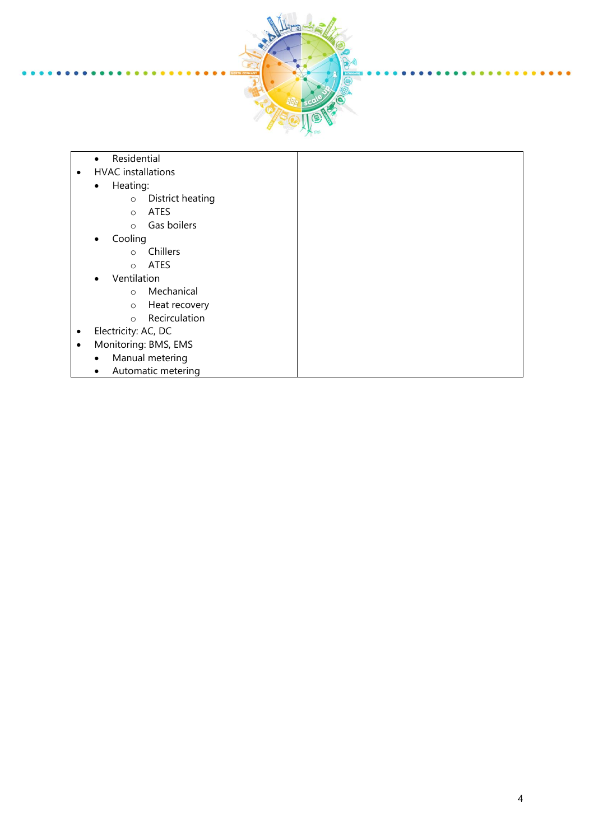

- Residential
- HVAC installations
	- Heating:
		- o District heating
		- o ATES
		- o Gas boilers
		- **Cooling** 
			- o Chillers
			- o ATES
	- **Ventilation** 
		- o Mechanical
		- o Heat recovery
		- o Recirculation
- Electricity: AC, DC
- Monitoring: BMS, EMS
	- Manual metering
	- Automatic metering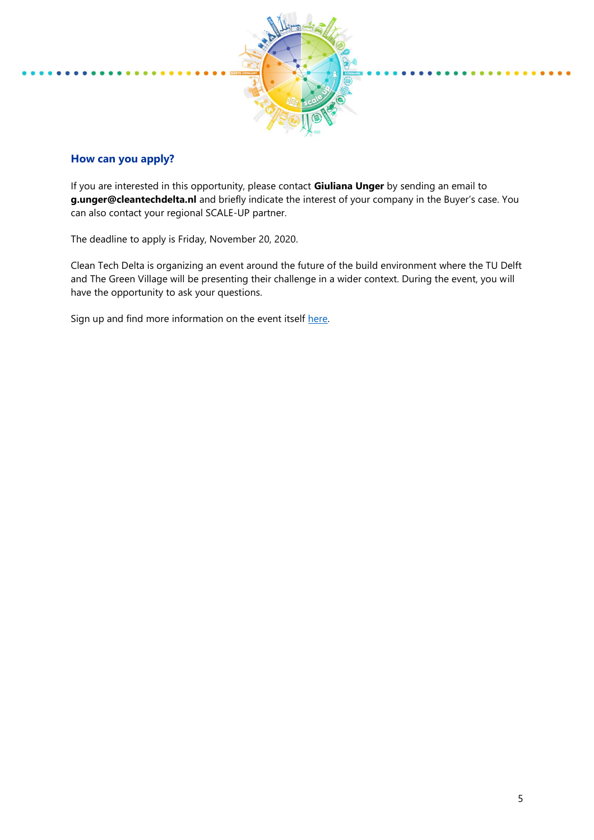

# **How can you apply?**

If you are interested in this opportunity, please contact **Giuliana Unger** by sending an email to **g.unger@cleantechdelta.nl** and briefly indicate the interest of your company in the Buyer's case. You can also contact your regional SCALE-UP partner.

The deadline to apply is Friday, November 20, 2020.

Clean Tech Delta is organizing an event around the future of the build environment where the TU Delft and The Green Village will be presenting their challenge in a wider context. During the event, you will have the opportunity to ask your questions.

Sign up and find more information on the event itself [here.](https://www.cleantechdelta.nl/events/)